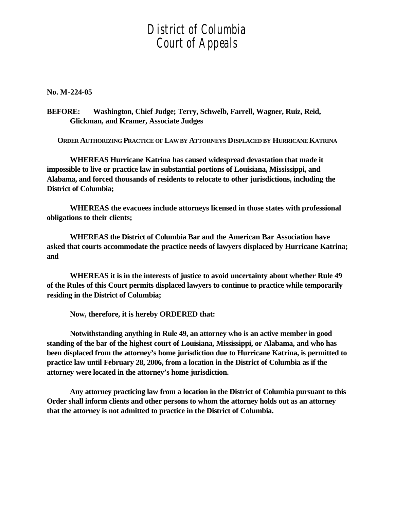## *District of Columbia Court of Appeals*

**No. M-224-05**

**BEFORE: Washington, Chief Judge; Terry, Schwelb, Farrell, Wagner, Ruiz, Reid, Glickman, and Kramer, Associate Judges**

**ORDER AUTHORIZING PRACTICE OF LAW BY ATTORNEYS DISPLACED BY HURRICANE KATRINA**

**WHEREAS Hurricane Katrina has caused widespread devastation that made it impossible to live or practice law in substantial portions of Louisiana, Mississippi, and Alabama, and forced thousands of residents to relocate to other jurisdictions, including the District of Columbia;**

**WHEREAS the evacuees include attorneys licensed in those states with professional obligations to their clients;**

**WHEREAS the District of Columbia Bar and the American Bar Association have asked that courts accommodate the practice needs of lawyers displaced by Hurricane Katrina; and**

**WHEREAS it is in the interests of justice to avoid uncertainty about whether Rule 49 of the Rules of this Court permits displaced lawyers to continue to practice while temporarily residing in the District of Columbia;**

**Now, therefore, it is hereby ORDERED that:**

**Notwithstanding anything in Rule 49, an attorney who is an active member in good standing of the bar of the highest court of Louisiana, Mississippi, or Alabama, and who has been displaced from the attorney's home jurisdiction due to Hurricane Katrina, is permitted to practice law until February 28, 2006, from a location in the District of Columbia as if the attorney were located in the attorney's home jurisdiction.**

**Any attorney practicing law from a location in the District of Columbia pursuant to this Order shall inform clients and other persons to whom the attorney holds out as an attorney that the attorney is not admitted to practice in the District of Columbia.**